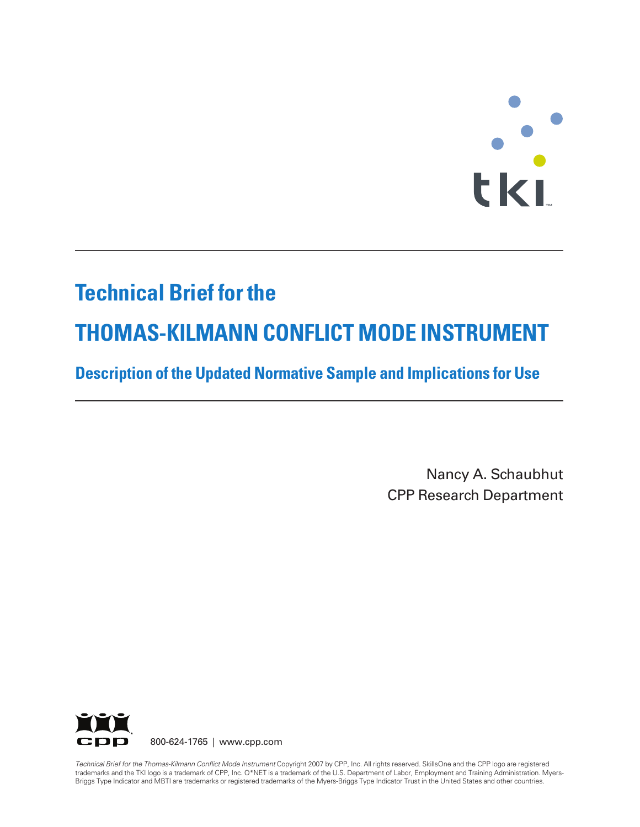# $\ddot{\cdot}$ **T M**

# **Technical Brief for the**

# **THOMAS-KILMANN CONFLICT MODE INSTRUMENT**

# **Description of the Updated Normative Sample and Implications for Use**

Nancy A. Schaubhut CPP Research Department



800-624-1765 | www.cpp.com

*Technical Brief for the Thomas-Kilmann Conflict Mode Instrument* Copyright 2007 by CPP, Inc. All rights reserved. SkillsOne and the CPP logo are registered trademarks and the TKI logo is a trademark of CPP, Inc. O\*NET is a trademark of the U.S. Department of Labor, Employment and Training Administration. Myers-Briggs Type Indicator and MBTI are trademarks or registered trademarks of the Myers-Briggs Type Indicator Trust in the United States and other countries.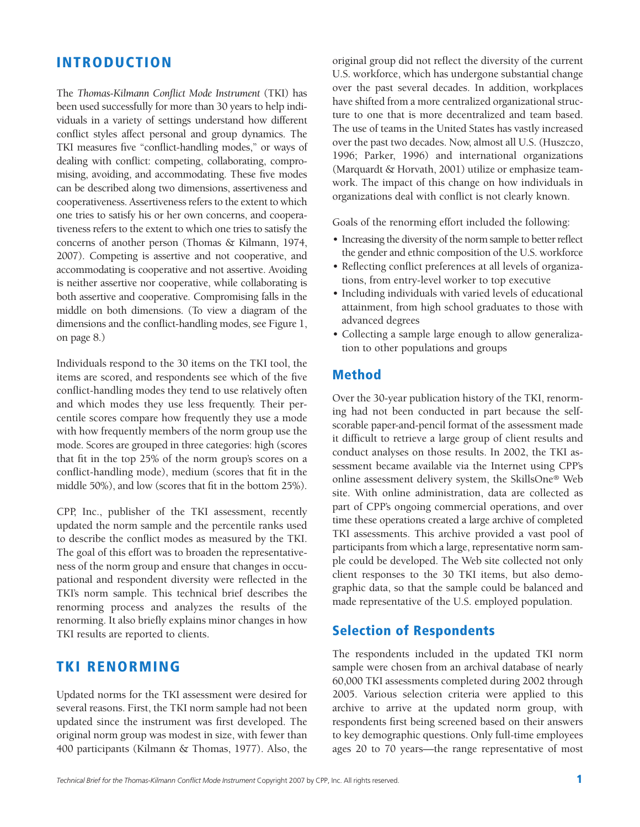### **INTRODUCTION**

The *Thomas-Kilmann Conflict Mode Instrument* (TKI) has been used successfully for more than 30 years to help individuals in a variety of settings understand how different conflict styles affect personal and group dynamics. The TKI measures five "conflict-handling modes," or ways of dealing with conflict: competing, collaborating, compromising, avoiding, and accommodating. These five modes can be described along two dimensions, assertiveness and cooperativeness. Assertiveness refers to the extent to which one tries to satisfy his or her own concerns, and cooperativeness refers to the extent to which one tries to satisfy the concerns of another person (Thomas & Kilmann, 1974, 2007). Competing is assertive and not cooperative, and accommodating is cooperative and not assertive. Avoiding is neither assertive nor cooperative, while collaborating is both assertive and cooperative. Compromising falls in the middle on both dimensions. (To view a diagram of the dimensions and the conflict-handling modes, see Figure 1, on page 8.)

Individuals respond to the 30 items on the TKI tool, the items are scored, and respondents see which of the five conflict-handling modes they tend to use relatively often and which modes they use less frequently. Their percentile scores compare how frequently they use a mode with how frequently members of the norm group use the mode. Scores are grouped in three categories: high (scores that fit in the top 25% of the norm group's scores on a conflict-handling mode), medium (scores that fit in the middle 50%), and low (scores that fit in the bottom 25%).

CPP, Inc., publisher of the TKI assessment, recently updated the norm sample and the percentile ranks used to describe the conflict modes as measured by the TKI. The goal of this effort was to broaden the representativeness of the norm group and ensure that changes in occupational and respondent diversity were reflected in the TKI's norm sample. This technical brief describes the renorming process and analyzes the results of the renorming. It also briefly explains minor changes in how TKI results are reported to clients.

#### **TKI RENORMING**

Updated norms for the TKI assessment were desired for several reasons. First, the TKI norm sample had not been updated since the instrument was first developed. The original norm group was modest in size, with fewer than 400 participants (Kilmann & Thomas, 1977). Also, the original group did not reflect the diversity of the current U.S. workforce, which has undergone substantial change over the past several decades. In addition, workplaces have shifted from a more centralized organizational structure to one that is more decentralized and team based. The use of teams in the United States has vastly increased over the past two decades. Now, almost all U.S. (Huszczo, 1996; Parker, 1996) and international organizations (Marquardt & Horvath, 2001) utilize or emphasize teamwork. The impact of this change on how individuals in organizations deal with conflict is not clearly known.

Goals of the renorming effort included the following:

- Increasing the diversity of the norm sample to better reflect the gender and ethnic composition of the U.S. workforce
- Reflecting conflict preferences at all levels of organizations, from entry-level worker to top executive
- Including individuals with varied levels of educational attainment, from high school graduates to those with advanced degrees
- Collecting a sample large enough to allow generalization to other populations and groups

#### **Method**

Over the 30-year publication history of the TKI, renorming had not been conducted in part because the selfscorable paper-and-pencil format of the assessment made it difficult to retrieve a large group of client results and conduct analyses on those results. In 2002, the TKI assessment became available via the Internet using CPP's online assessment delivery system, the SkillsOne® Web site. With online administration, data are collected as part of CPP's ongoing commercial operations, and over time these operations created a large archive of completed TKI assessments. This archive provided a vast pool of participants from which a large, representative norm sample could be developed. The Web site collected not only client responses to the 30 TKI items, but also demographic data, so that the sample could be balanced and made representative of the U.S. employed population.

#### **Selection of Respondents**

The respondents included in the updated TKI norm sample were chosen from an archival database of nearly 60,000 TKI assessments completed during 2002 through 2005. Various selection criteria were applied to this archive to arrive at the updated norm group, with respondents first being screened based on their answers to key demographic questions. Only full-time employees ages 20 to 70 years—the range representative of most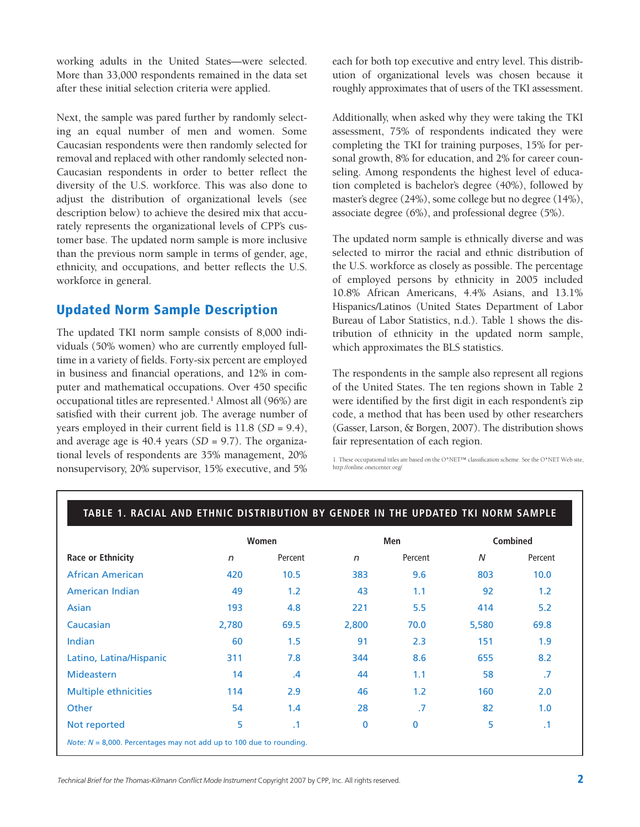working adults in the United States—were selected. More than 33,000 respondents remained in the data set after these initial selection criteria were applied.

Next, the sample was pared further by randomly selecting an equal number of men and women. Some Caucasian respondents were then randomly selected for removal and replaced with other randomly selected non-Caucasian respondents in order to better reflect the diversity of the U.S. workforce. This was also done to adjust the distribution of organizational levels (see description below) to achieve the desired mix that accurately represents the organizational levels of CPP's customer base. The updated norm sample is more inclusive than the previous norm sample in terms of gender, age, ethnicity, and occupations, and better reflects the U.S. workforce in general.

# **Updated Norm Sample Description**

The updated TKI norm sample consists of 8,000 individuals (50% women) who are currently employed fulltime in a variety of fields. Forty-six percent are employed in business and financial operations, and 12% in computer and mathematical occupations. Over 450 specific occupational titles are represented.1 Almost all (96%) are satisfied with their current job. The average number of years employed in their current field is 11.8 (*SD* = 9.4), and average age is 40.4 years (*SD* = 9.7). The organizational levels of respondents are 35% management, 20% nonsupervisory, 20% supervisor, 15% executive, and 5%

each for both top executive and entry level. This distribution of organizational levels was chosen because it roughly approximates that of users of the TKI assessment.

Additionally, when asked why they were taking the TKI assessment, 75% of respondents indicated they were completing the TKI for training purposes, 15% for personal growth, 8% for education, and 2% for career counseling. Among respondents the highest level of education completed is bachelor's degree (40%), followed by master's degree (24%), some college but no degree (14%), associate degree (6%), and professional degree (5%).

The updated norm sample is ethnically diverse and was selected to mirror the racial and ethnic distribution of the U.S. workforce as closely as possible. The percentage of employed persons by ethnicity in 2005 included 10.8% African Americans, 4.4% Asians, and 13.1% Hispanics/Latinos (United States Department of Labor Bureau of Labor Statistics, n.d.). Table 1 shows the distribution of ethnicity in the updated norm sample, which approximates the BLS statistics.

The respondents in the sample also represent all regions of the United States. The ten regions shown in Table 2 were identified by the first digit in each respondent's zip code, a method that has been used by other researchers (Gasser, Larson, & Borgen, 2007). The distribution shows fair representation of each region.

1. These occupational titles are based on the O\*NET™ classification scheme. See the O\*NET Web site, http://online.onetcenter.org/

|                             |       | Women         |              | Men     | <b>Combined</b> |           |
|-----------------------------|-------|---------------|--------------|---------|-----------------|-----------|
| <b>Race or Ethnicity</b>    | n     | Percent       | $\mathsf{n}$ | Percent | N               | Percent   |
| <b>African American</b>     | 420   | 10.5          | 383          | 9.6     | 803             | 10.0      |
| American Indian             | 49    | 1.2           | 43           | 1.1     | 92              | 1.2       |
| Asian                       | 193   | 4.8           | 221          | 5.5     | 414             | 5.2       |
| Caucasian                   | 2,780 | 69.5          | 2,800        | 70.0    | 5,580           | 69.8      |
| Indian                      | 60    | 1.5           | 91           | 2.3     | 151             | 1.9       |
| Latino, Latina/Hispanic     | 311   | 7.8           | 344          | 8.6     | 655             | 8.2       |
| <b>Mideastern</b>           | 14    | $\mathcal{A}$ | 44           | 1.1     | 58              | .7        |
| <b>Multiple ethnicities</b> | 114   | 2.9           | 46           | 1.2     | 160             | 2.0       |
| Other                       | 54    | 1.4           | 28           | .7      | 82              | 1.0       |
| Not reported                | 5     | $\cdot$ 1     | 0            | 0       | 5               | $\cdot$ 1 |

#### **TABLE 1. RACIAL AND ETHNIC DISTRIBUTION BY GENDER IN THE UPDATED TKI NORM SAMPLE**

*Technical Brief for the Thomas-Kilmann Conflict Mode Instrument* Copyright 2007 by CPP, Inc. All rights reserved. **2**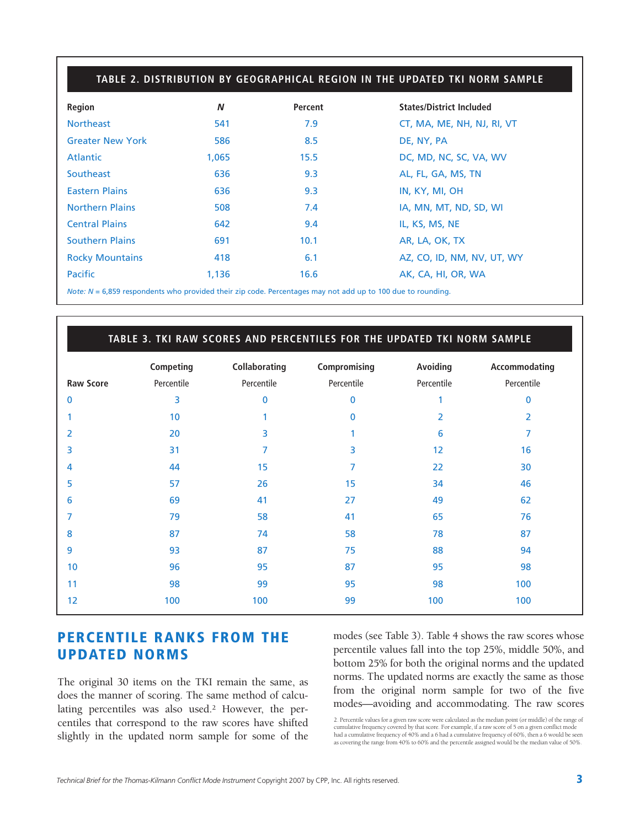|                         | TABLE 2. DISTRIBUTION BY GEOGRAPHICAL REGION IN THE UPDATED TKI NORM SAMPLE |         |                                 |  |  |  |  |
|-------------------------|-----------------------------------------------------------------------------|---------|---------------------------------|--|--|--|--|
| Region                  | N                                                                           | Percent | <b>States/District Included</b> |  |  |  |  |
| <b>Northeast</b>        | 541                                                                         | 7.9     | CT, MA, ME, NH, NJ, RI, VT      |  |  |  |  |
| <b>Greater New York</b> | 586                                                                         | 8.5     | DE, NY, PA                      |  |  |  |  |
| Atlantic                | 1,065                                                                       | 15.5    | DC, MD, NC, SC, VA, WV          |  |  |  |  |
| Southeast               | 636                                                                         | 9.3     | AL, FL, GA, MS, TN              |  |  |  |  |
| <b>Eastern Plains</b>   | 636                                                                         | 9.3     | IN, KY, MI, OH                  |  |  |  |  |
| <b>Northern Plains</b>  | 508                                                                         | 7.4     | IA, MN, MT, ND, SD, WI          |  |  |  |  |
| <b>Central Plains</b>   | 642                                                                         | 9.4     | IL, KS, MS, NE                  |  |  |  |  |
| <b>Southern Plains</b>  | 691                                                                         | 10.1    | AR, LA, OK, TX                  |  |  |  |  |
| <b>Rocky Mountains</b>  | 418                                                                         | 6.1     | AZ, CO, ID, NM, NV, UT, WY      |  |  |  |  |
| <b>Pacific</b>          | 1,136                                                                       | 16.6    | AK, CA, HI, OR, WA              |  |  |  |  |

*Note: N* = 6,859 respondents who provided their zip code. Percentages may not add up to 100 due to rounding.

|                  |            |               | TABLE 3. TKI RAW SCORES AND PERCENTILES FOR THE UPDATED TKI NORM SAMPLE |            |               |
|------------------|------------|---------------|-------------------------------------------------------------------------|------------|---------------|
|                  | Competing  | Collaborating | Compromising                                                            | Avoiding   | Accommodating |
| <b>Raw Score</b> | Percentile | Percentile    | Percentile                                                              | Percentile | Percentile    |
| $\Omega$         | 3          | 0             | $\mathbf{0}$                                                            |            | 0             |
|                  | 10         |               | $\mathbf{0}$                                                            | 2          | 2             |
| 2                | 20         | 3             |                                                                         | 6          | 7             |
| 3                | 31         | 7             | 3                                                                       | 12         | 16            |
| 4                | 44         | 15            | 7                                                                       | 22         | 30            |
| 5                | 57         | 26            | 15                                                                      | 34         | 46            |
| 6                | 69         | 41            | 27                                                                      | 49         | 62            |
| 7                | 79         | 58            | 41                                                                      | 65         | 76            |
| 8                | 87         | 74            | 58                                                                      | 78         | 87            |
| 9                | 93         | 87            | 75                                                                      | 88         | 94            |
| 10               | 96         | 95            | 87                                                                      | 95         | 98            |
| 11               | 98         | 99            | 95                                                                      | 98         | 100           |
| 12               | 100        | 100           | 99                                                                      | 100        | 100           |

#### **PERCENTILE RANKS FROM THE UPDATED NORMS**

The original 30 items on the TKI remain the same, as does the manner of scoring. The same method of calculating percentiles was also used.2 However, the percentiles that correspond to the raw scores have shifted slightly in the updated norm sample for some of the modes (see Table 3). Table 4 shows the raw scores whose percentile values fall into the top 25%, middle 50%, and bottom 25% for both the original norms and the updated norms. The updated norms are exactly the same as those from the original norm sample for two of the five modes—avoiding and accommodating. The raw scores

<sup>2.</sup> Percentile values for a given raw score were calculated as the median point (or middle) of the range of cumulative frequency covered by that score. For example, if a raw score of 5 on a given conflict mode<br>had a cumulative frequency of 40% and a 6 had a cumulative frequency of 60%, then a 6 would be seen<br>as covering the rang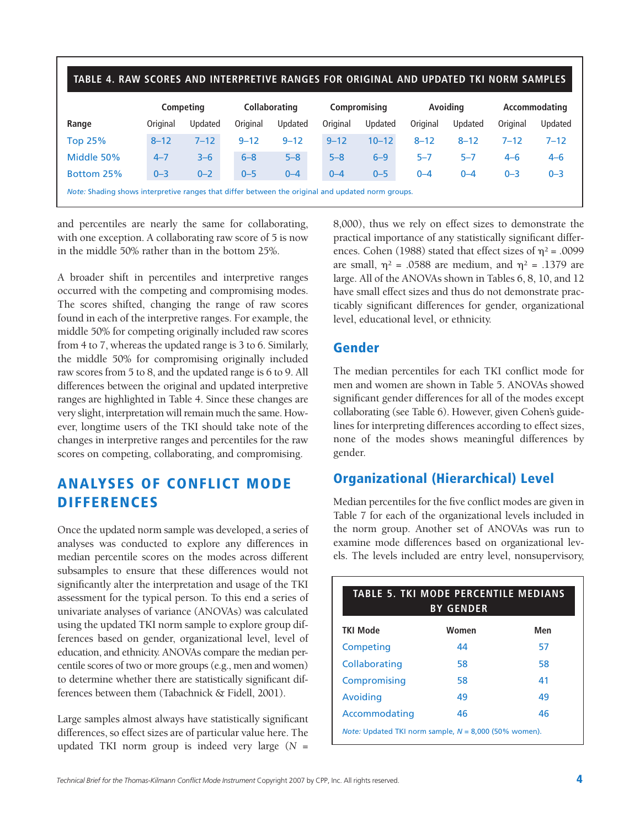| TABLE 4. RAW SCORES AND INTERPRETIVE RANGES FOR ORIGINAL AND UPDATED TKI NORM SAMPLES |                                                                                                   |          |          |                                             |          |           |          |          |               |          |
|---------------------------------------------------------------------------------------|---------------------------------------------------------------------------------------------------|----------|----------|---------------------------------------------|----------|-----------|----------|----------|---------------|----------|
|                                                                                       | Competing                                                                                         |          |          | <b>Collaborating</b><br><b>Compromising</b> |          |           | Avoiding |          | Accommodating |          |
| Range                                                                                 | Original                                                                                          | Updated  | Original | Updated                                     | Original | Updated   | Original | Updated  | Original      | Updated  |
| <b>Top 25%</b>                                                                        | $8 - 12$                                                                                          | $7 - 12$ | $9 - 12$ | $9 - 12$                                    | $9 - 12$ | $10 - 12$ | $8 - 12$ | $8 - 12$ | $7 - 12$      | $7 - 12$ |
| Middle 50%                                                                            | $4 - 7$                                                                                           | $3 - 6$  | $6 - 8$  | $5 - 8$                                     | $5 - 8$  | $6 - 9$   | $5 - 7$  | $5 - 7$  | $4 - 6$       | $4 - 6$  |
| Bottom 25%                                                                            | $0 - 3$                                                                                           | $0 - 2$  | $0 - 5$  | $0 - 4$                                     | $0 - 4$  | $0 - 5$   | $0 - 4$  | $0 - 4$  | $0 - 3$       | $0 - 3$  |
|                                                                                       | Note: Shading shows interpretive ranges that differ between the original and updated norm groups. |          |          |                                             |          |           |          |          |               |          |

and percentiles are nearly the same for collaborating, with one exception. A collaborating raw score of 5 is now in the middle 50% rather than in the bottom 25%.

A broader shift in percentiles and interpretive ranges occurred with the competing and compromising modes. The scores shifted, changing the range of raw scores found in each of the interpretive ranges. For example, the middle 50% for competing originally included raw scores from 4 to 7, whereas the updated range is 3 to 6. Similarly, the middle 50% for compromising originally included raw scores from 5 to 8, and the updated range is 6 to 9. All differences between the original and updated interpretive ranges are highlighted in Table 4. Since these changes are very slight, interpretation will remain much the same. However, longtime users of the TKI should take note of the changes in interpretive ranges and percentiles for the raw scores on competing, collaborating, and compromising.

# **ANALYSES OF CONFLICT MODE DIFFERENCES**

Once the updated norm sample was developed, a series of analyses was conducted to explore any differences in median percentile scores on the modes across different subsamples to ensure that these differences would not significantly alter the interpretation and usage of the TKI assessment for the typical person. To this end a series of univariate analyses of variance (ANOVAs) was calculated using the updated TKI norm sample to explore group differences based on gender, organizational level, level of education, and ethnicity. ANOVAs compare the median percentile scores of two or more groups (e.g., men and women) to determine whether there are statistically significant differences between them (Tabachnick & Fidell, 2001).

Large samples almost always have statistically significant differences, so effect sizes are of particular value here. The updated TKI norm group is indeed very large (*N* =

8,000), thus we rely on effect sizes to demonstrate the practical importance of any statistically significant differences. Cohen (1988) stated that effect sizes of  $\eta^2$  = .0099 are small,  $\eta^2$  = .0588 are medium, and  $\eta^2$  = .1379 are large. All of the ANOVAs shown in Tables 6, 8, 10, and 12 have small effect sizes and thus do not demonstrate practicably significant differences for gender, organizational level, educational level, or ethnicity.

#### **Gender**

The median percentiles for each TKI conflict mode for men and women are shown in Table 5. ANOVAs showed significant gender differences for all of the modes except collaborating (see Table 6). However, given Cohen's guidelines for interpreting differences according to effect sizes, none of the modes shows meaningful differences by gender.

# **Organizational (Hierarchical) Level**

Median percentiles for the five conflict modes are given in Table 7 for each of the organizational levels included in the norm group. Another set of ANOVAs was run to examine mode differences based on organizational levels. The levels included are entry level, nonsupervisory,

| <b>TABLE 5. TKI MODE PERCENTILE MEDIANS</b><br><b>BY GENDER</b> |       |     |  |  |  |  |  |
|-----------------------------------------------------------------|-------|-----|--|--|--|--|--|
| <b>TKI Mode</b>                                                 | Women | Men |  |  |  |  |  |
| Competing                                                       | 44    | 57  |  |  |  |  |  |
| Collaborating                                                   | 58    | 58  |  |  |  |  |  |
| Compromising                                                    | 58    | 41  |  |  |  |  |  |
| Avoiding                                                        | 49    | 49  |  |  |  |  |  |
| Accommodating                                                   | 46    | 46  |  |  |  |  |  |
| <i>Note:</i> Updated TKI norm sample, $N = 8,000$ (50% women).  |       |     |  |  |  |  |  |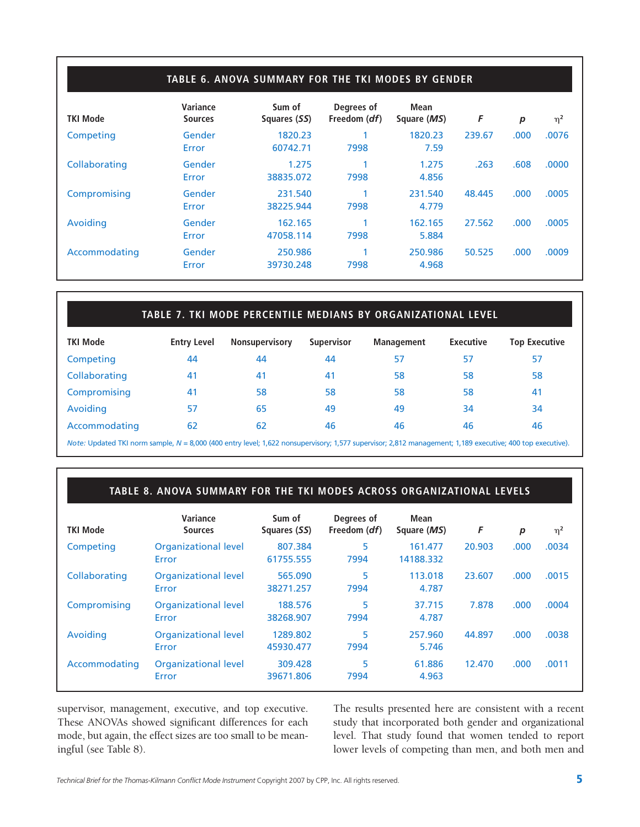#### **TABLE 6. ANOVA SUMMARY FOR THE TKI MODES BY GENDER**

| <b>TKI Mode</b> | Variance<br><b>Sources</b> | Sum of<br>Squares (SS) | Degrees of<br>Freedom ( <i>df</i> ) | Mean<br>Square (MS) | F      | p    | $\eta^2$ |
|-----------------|----------------------------|------------------------|-------------------------------------|---------------------|--------|------|----------|
| Competing       | Gender<br>Error            | 1820.23<br>60742.71    | 7998                                | 1820.23<br>7.59     | 239.67 | .000 | .0076    |
| Collaborating   | Gender<br>Error            | 1.275<br>38835.072     | 7998                                | 1.275<br>4.856      | .263   | .608 | .0000    |
| Compromising    | Gender<br>Error            | 231.540<br>38225.944   | 7998                                | 231.540<br>4.779    | 48.445 | .000 | .0005    |
| Avoiding        | Gender<br>Error            | 162.165<br>47058.114   | 7998                                | 162.165<br>5.884    | 27.562 | .000 | .0005    |
| Accommodating   | Gender<br>Error            | 250.986<br>39730.248   | 7998                                | 250.986<br>4.968    | 50.525 | .000 | .0009    |

#### **TABLE 7. TKI MODE PERCENTILE MEDIANS BY ORGANIZATIONAL LEVEL**

| <b>TKI Mode</b> | <b>Entry Level</b> | <b>Nonsupervisory</b> | <b>Supervisor</b> | <b>Management</b> | <b>Executive</b> | <b>Top Executive</b> |
|-----------------|--------------------|-----------------------|-------------------|-------------------|------------------|----------------------|
| Competing       | 44                 | 44                    | 44                | 57                | 57               | 57                   |
| Collaborating   | 41                 | 41                    | 41                | 58                | 58               | 58                   |
| Compromising    | 41                 | 58                    | 58                | 58                | 58               | 41                   |
| Avoiding        | 57                 | 65                    | 49                | 49                | 34               | 34                   |
| Accommodating   | 62                 | 62                    | 46                | 46                | 46               | 46                   |
|                 |                    |                       |                   |                   |                  |                      |

*Note:* Updated TKI norm sample, *N* = 8,000 (400 entry level; 1,622 nonsupervisory; 1,577 supervisor; 2,812 management; 1,189 executive; 400 top executive).

#### **TABLE 8. ANOVA SUMMARY FOR THE TKI MODES ACROSS ORGANIZATIONAL LEVELS**

| <b>TKI Mode</b> | Variance<br><b>Sources</b>           | Sum of<br>Squares (SS) | Degrees of<br>Freedom ( <i>df</i> ) | Mean<br>Square (MS)  | F      | $\boldsymbol{p}$ | $\eta^2$ |
|-----------------|--------------------------------------|------------------------|-------------------------------------|----------------------|--------|------------------|----------|
| Competing       | <b>Organizational level</b><br>Error | 807.384<br>61755.555   | 5<br>7994                           | 161.477<br>14188.332 | 20.903 | .000             | .0034    |
| Collaborating   | <b>Organizational level</b><br>Error | 565.090<br>38271.257   | 5<br>7994                           | 113.018<br>4.787     | 23.607 | .000             | .0015    |
| Compromising    | <b>Organizational level</b><br>Error | 188.576<br>38268.907   | 5<br>7994                           | 37.715<br>4.787      | 7.878  | .000             | .0004    |
| Avoiding        | <b>Organizational level</b><br>Error | 1289.802<br>45930.477  | 5<br>7994                           | 257.960<br>5.746     | 44.897 | .000             | .0038    |
| Accommodating   | <b>Organizational level</b><br>Error | 309.428<br>39671.806   | 5<br>7994                           | 61.886<br>4.963      | 12.470 | .000             | .0011    |

supervisor, management, executive, and top executive. These ANOVAs showed significant differences for each mode, but again, the effect sizes are too small to be meaningful (see Table 8).

The results presented here are consistent with a recent study that incorporated both gender and organizational level. That study found that women tended to report lower levels of competing than men, and both men and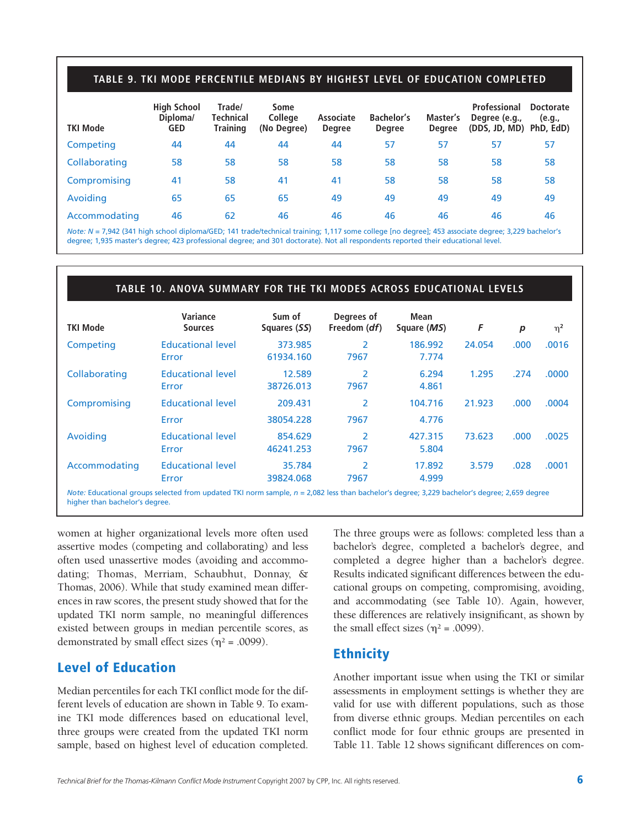#### **TABLE 9. TKI MODE PERCENTILE MEDIANS BY HIGHEST LEVEL OF EDUCATION COMPLETED**

| <b>TKI Mode</b> | <b>High School</b><br>Diploma/<br><b>GED</b> | Trade/<br><b>Technical</b><br><b>Training</b> | Some<br><b>College</b><br>(No Degree) | Associate<br><b>Degree</b> | <b>Bachelor's</b><br><b>Degree</b> | Master's<br><b>Degree</b> | Professional<br>Degree (e.g.,<br>(DDS, JD, MD) PhD, EdD) | <b>Doctorate</b><br>(e.g., |
|-----------------|----------------------------------------------|-----------------------------------------------|---------------------------------------|----------------------------|------------------------------------|---------------------------|----------------------------------------------------------|----------------------------|
| Competing       | 44                                           | 44                                            | 44                                    | 44                         | 57                                 | 57                        | 57                                                       | 57                         |
| Collaborating   | 58                                           | 58                                            | 58                                    | 58                         | 58                                 | 58                        | 58                                                       | 58                         |
| Compromising    | 41                                           | 58                                            | 41                                    | 41                         | 58                                 | 58                        | 58                                                       | 58                         |
| Avoiding        | 65                                           | 65                                            | 65                                    | 49                         | 49                                 | 49                        | 49                                                       | 49                         |
| Accommodating   | 46                                           | 62                                            | 46                                    | 46                         | 46                                 | 46                        | 46                                                       | 46                         |

*Note: N* = 7,942 (341 high school diploma/GED; 141 trade/technical training; 1,117 some college [no degree]; 453 associate degree; 3,229 bachelor's degree; 1,935 master's degree; 423 professional degree; and 301 doctorate). Not all respondents reported their educational level.

#### **TABLE 10. ANOVA SUMMARY FOR THE TKI MODES ACROSS EDUCATIONAL LEVELS**

| Variance<br><b>Sources</b>        | Sum of<br>Squares (SS) | Degrees of<br>Freedom (df) | Mean<br>Square (MS) | F      | $\boldsymbol{p}$ | $\eta^2$ |
|-----------------------------------|------------------------|----------------------------|---------------------|--------|------------------|----------|
| <b>Educational level</b><br>Error | 373.985<br>61934.160   | 2<br>7967                  | 186.992<br>7.774    | 24.054 | .000             | .0016    |
| <b>Educational level</b><br>Error | 12.589<br>38726.013    | $\overline{2}$<br>7967     | 6.294<br>4.861      | 1.295  | .274             | .0000    |
| <b>Educational level</b>          | 209.431                | 2                          | 104.716             | 21.923 | .000             | .0004    |
| Error                             | 38054.228              | 7967                       | 4.776               |        |                  |          |
| <b>Educational level</b><br>Error | 854.629<br>46241.253   | $\overline{2}$<br>7967     | 427.315<br>5.804    | 73.623 | .000             | .0025    |
| <b>Educational level</b><br>Error | 35.784<br>39824.068    | $\overline{2}$<br>7967     | 17.892<br>4.999     | 3.579  | .028             | .0001    |
|                                   |                        |                            |                     |        |                  |          |

higher than bachelor's degree.

women at higher organizational levels more often used assertive modes (competing and collaborating) and less often used unassertive modes (avoiding and accommodating; Thomas, Merriam, Schaubhut, Donnay, & Thomas, 2006). While that study examined mean differences in raw scores, the present study showed that for the updated TKI norm sample, no meaningful differences existed between groups in median percentile scores, as demonstrated by small effect sizes ( $\eta^2$  = .0099).

#### **Level of Education**

Median percentiles for each TKI conflict mode for the different levels of education are shown in Table 9. To examine TKI mode differences based on educational level, three groups were created from the updated TKI norm sample, based on highest level of education completed. The three groups were as follows: completed less than a bachelor's degree, completed a bachelor's degree, and completed a degree higher than a bachelor's degree. Results indicated significant differences between the educational groups on competing, compromising, avoiding, and accommodating (see Table 10). Again, however, these differences are relatively insignificant, as shown by the small effect sizes ( $\eta^2$  = .0099).

### **Ethnicity**

Another important issue when using the TKI or similar assessments in employment settings is whether they are valid for use with different populations, such as those from diverse ethnic groups. Median percentiles on each conflict mode for four ethnic groups are presented in Table 11. Table 12 shows significant differences on com-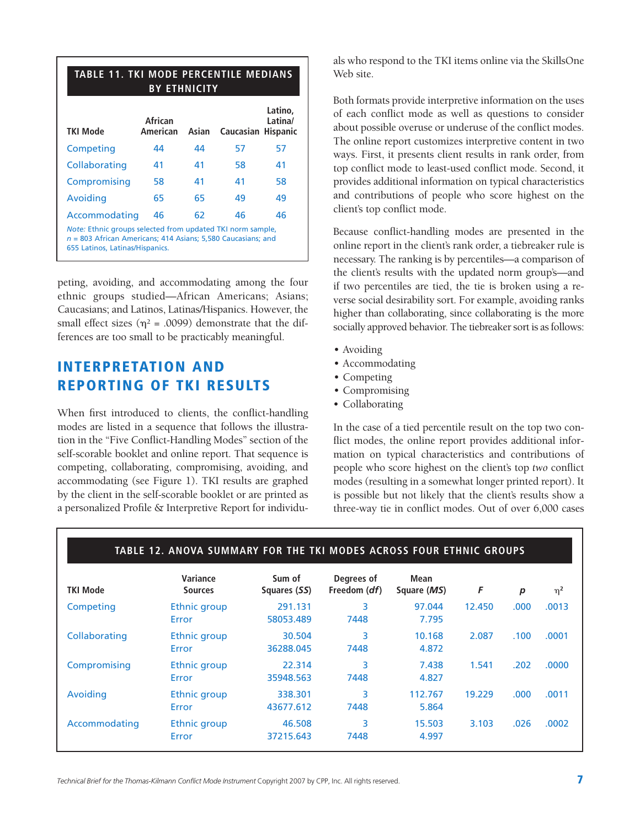| <b>TABLE 11. TKI MODE PERCENTILE MEDIANS</b><br><b>BY ETHNICITY</b>                                                                                             |                     |       |           |                                       |  |  |  |  |  |
|-----------------------------------------------------------------------------------------------------------------------------------------------------------------|---------------------|-------|-----------|---------------------------------------|--|--|--|--|--|
| <b>TKI Mode</b>                                                                                                                                                 | African<br>American | Asian | Caucasian | Latino.<br>Latina/<br><b>Hispanic</b> |  |  |  |  |  |
| Competing                                                                                                                                                       | 44                  | 44    | 57        | 57                                    |  |  |  |  |  |
| Collaborating                                                                                                                                                   | 41                  | 41    | 58        | 41                                    |  |  |  |  |  |
| Compromising                                                                                                                                                    | 58                  | 41    | 41        | 58                                    |  |  |  |  |  |
| Avoiding                                                                                                                                                        | 65                  | 65    | 49        | 49                                    |  |  |  |  |  |
| Accommodating                                                                                                                                                   | 46                  | 62    | 46        | 46                                    |  |  |  |  |  |
| Note: Ethnic groups selected from updated TKI norm sample,<br>$n = 803$ African Americans; 414 Asians; 5,580 Caucasians; and<br>655 Latinos, Latinas/Hispanics. |                     |       |           |                                       |  |  |  |  |  |

peting, avoiding, and accommodating among the four ethnic groups studied—African Americans; Asians; Caucasians; and Latinos, Latinas/Hispanics. However, the small effect sizes ( $\eta^2$  = .0099) demonstrate that the differences are too small to be practicably meaningful.

# **INTERPRETATION AND REPORTING OF TKI RESULTS**

When first introduced to clients, the conflict-handling modes are listed in a sequence that follows the illustration in the "Five Conflict-Handling Modes" section of the self-scorable booklet and online report. That sequence is competing, collaborating, compromising, avoiding, and accommodating (see Figure 1). TKI results are graphed by the client in the self-scorable booklet or are printed as a personalized Profile & Interpretive Report for individuals who respond to the TKI items online via the SkillsOne Web site.

Both formats provide interpretive information on the uses of each conflict mode as well as questions to consider about possible overuse or underuse of the conflict modes. The online report customizes interpretive content in two ways. First, it presents client results in rank order, from top conflict mode to least-used conflict mode. Second, it provides additional information on typical characteristics and contributions of people who score highest on the client's top conflict mode.

Because conflict-handling modes are presented in the online report in the client's rank order, a tiebreaker rule is necessary. The ranking is by percentiles—a comparison of the client's results with the updated norm group's—and if two percentiles are tied, the tie is broken using a reverse social desirability sort. For example, avoiding ranks higher than collaborating, since collaborating is the more socially approved behavior. The tiebreaker sort is as follows:

- Avoiding
- Accommodating
- Competing
- Compromising
- Collaborating

In the case of a tied percentile result on the top two conflict modes, the online report provides additional information on typical characteristics and contributions of people who score highest on the client's top *two* conflict modes (resulting in a somewhat longer printed report). It is possible but not likely that the client's results show a three-way tie in conflict modes. Out of over 6,000 cases

| TABLE 12. ANOVA SUMMARY FOR THE TKI MODES ACROSS FOUR ETHNIC GROUPS |                              |                        |                                     |                     |        |      |          |  |  |
|---------------------------------------------------------------------|------------------------------|------------------------|-------------------------------------|---------------------|--------|------|----------|--|--|
| <b>TKI Mode</b>                                                     | Variance<br><b>Sources</b>   | Sum of<br>Squares (SS) | Degrees of<br>Freedom ( <i>df</i> ) | Mean<br>Square (MS) | F      | p    | $\eta^2$ |  |  |
| Competing                                                           | <b>Ethnic group</b><br>Error | 291.131<br>58053.489   | 3<br>7448                           | 97.044<br>7.795     | 12.450 | .000 | .0013    |  |  |
| Collaborating                                                       | <b>Ethnic group</b><br>Error | 30.504<br>36288.045    | 3<br>7448                           | 10.168<br>4.872     | 2.087  | .100 | .0001    |  |  |
| Compromising                                                        | Ethnic group<br>Error        | 22.314<br>35948.563    | 3<br>7448                           | 7.438<br>4.827      | 1.541  | .202 | .0000    |  |  |
| Avoiding                                                            | Ethnic group<br>Error        | 338.301<br>43677.612   | 3<br>7448                           | 112.767<br>5.864    | 19.229 | .000 | .0011    |  |  |
| Accommodating                                                       | Ethnic group<br>Error        | 46.508<br>37215.643    | 3<br>7448                           | 15.503<br>4.997     | 3.103  | .026 | .0002    |  |  |

*Technical Brief for the Thomas-Kilmann Conflict Mode Instrument* Copyright 2007 by CPP, Inc. All rights reserved. **7**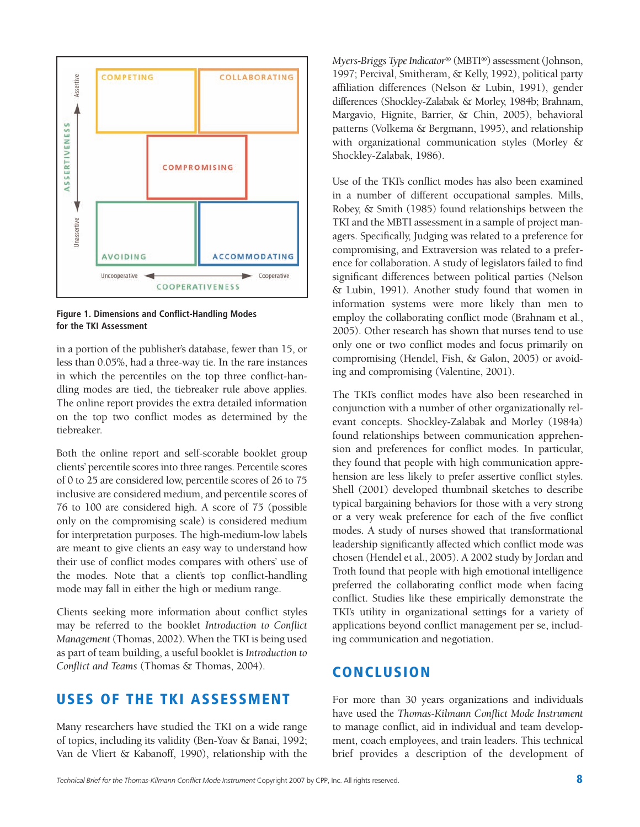

**Figure 1. Dimensions and Conflict-Handling Modes for the TKI Assessment**

in a portion of the publisher's database, fewer than 15, or less than 0.05%, had a three-way tie. In the rare instances in which the percentiles on the top three conflict-handling modes are tied, the tiebreaker rule above applies. The online report provides the extra detailed information on the top two conflict modes as determined by the tiebreaker.

Both the online report and self-scorable booklet group clients' percentile scores into three ranges. Percentile scores of 0 to 25 are considered low, percentile scores of 26 to 75 inclusive are considered medium, and percentile scores of 76 to 100 are considered high. A score of 75 (possible only on the compromising scale) is considered medium for interpretation purposes. The high-medium-low labels are meant to give clients an easy way to understand how their use of conflict modes compares with others' use of the modes. Note that a client's top conflict-handling mode may fall in either the high or medium range.

Clients seeking more information about conflict styles may be referred to the booklet *Introduction to Conflict Management*(Thomas, 2002). When the TKI is being used as part of team building, a useful booklet is *Introduction to Conflict and Teams* (Thomas & Thomas, 2004).

## **USES OF THE TKI ASSESSMENT**

Many researchers have studied the TKI on a wide range of topics, including its validity (Ben-Yoav & Banai, 1992; Van de Vliert & Kabanoff, 1990), relationship with the

*Myers-Briggs Type Indicator®* (MBTI®) assessment (Johnson, 1997; Percival, Smitheram, & Kelly, 1992), political party affiliation differences (Nelson & Lubin, 1991), gender differences (Shockley-Zalabak & Morley, 1984b; Brahnam, Margavio, Hignite, Barrier, & Chin, 2005), behavioral patterns (Volkema & Bergmann, 1995), and relationship with organizational communication styles (Morley & Shockley-Zalabak, 1986).

Use of the TKI's conflict modes has also been examined in a number of different occupational samples. Mills, Robey, & Smith (1985) found relationships between the TKI and the MBTI assessment in a sample of project managers. Specifically, Judging was related to a preference for compromising, and Extraversion was related to a preference for collaboration. A study of legislators failed to find significant differences between political parties (Nelson & Lubin, 1991). Another study found that women in information systems were more likely than men to employ the collaborating conflict mode (Brahnam et al., 2005). Other research has shown that nurses tend to use only one or two conflict modes and focus primarily on compromising (Hendel, Fish, & Galon, 2005) or avoiding and compromising (Valentine, 2001).

The TKI's conflict modes have also been researched in conjunction with a number of other organizationally relevant concepts. Shockley-Zalabak and Morley (1984a) found relationships between communication apprehension and preferences for conflict modes. In particular, they found that people with high communication apprehension are less likely to prefer assertive conflict styles. Shell (2001) developed thumbnail sketches to describe typical bargaining behaviors for those with a very strong or a very weak preference for each of the five conflict modes. A study of nurses showed that transformational leadership significantly affected which conflict mode was chosen (Hendel et al., 2005). A 2002 study by Jordan and Troth found that people with high emotional intelligence preferred the collaborating conflict mode when facing conflict. Studies like these empirically demonstrate the TKI's utility in organizational settings for a variety of applications beyond conflict management per se, including communication and negotiation.

### **CONCLUSION**

For more than 30 years organizations and individuals have used the *Thomas-Kilmann Conflict Mode Instrument* to manage conflict, aid in individual and team development, coach employees, and train leaders. This technical brief provides a description of the development of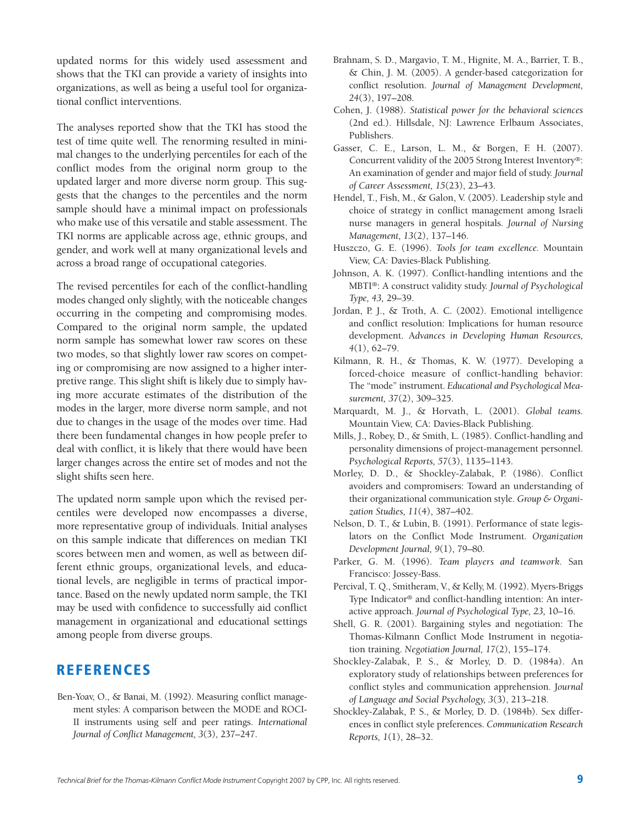updated norms for this widely used assessment and shows that the TKI can provide a variety of insights into organizations, as well as being a useful tool for organizational conflict interventions.

The analyses reported show that the TKI has stood the test of time quite well. The renorming resulted in minimal changes to the underlying percentiles for each of the conflict modes from the original norm group to the updated larger and more diverse norm group. This suggests that the changes to the percentiles and the norm sample should have a minimal impact on professionals who make use of this versatile and stable assessment. The TKI norms are applicable across age, ethnic groups, and gender, and work well at many organizational levels and across a broad range of occupational categories.

The revised percentiles for each of the conflict-handling modes changed only slightly, with the noticeable changes occurring in the competing and compromising modes. Compared to the original norm sample, the updated norm sample has somewhat lower raw scores on these two modes, so that slightly lower raw scores on competing or compromising are now assigned to a higher interpretive range. This slight shift is likely due to simply having more accurate estimates of the distribution of the modes in the larger, more diverse norm sample, and not due to changes in the usage of the modes over time. Had there been fundamental changes in how people prefer to deal with conflict, it is likely that there would have been larger changes across the entire set of modes and not the slight shifts seen here.

The updated norm sample upon which the revised percentiles were developed now encompasses a diverse, more representative group of individuals. Initial analyses on this sample indicate that differences on median TKI scores between men and women, as well as between different ethnic groups, organizational levels, and educational levels, are negligible in terms of practical importance. Based on the newly updated norm sample, the TKI may be used with confidence to successfully aid conflict management in organizational and educational settings among people from diverse groups.

# **REFERENCES**

Ben-Yoav, O., & Banai, M. (1992). Measuring conflict management styles: A comparison between the MODE and ROCI-II instruments using self and peer ratings. *International Journal of Conflict Management, 3*(3), 237–247.

- Brahnam, S. D., Margavio, T. M., Hignite, M. A., Barrier, T. B., & Chin, J. M. (2005). A gender-based categorization for conflict resolution. *Journal of Management Development, 24*(3), 197–208.
- Cohen, J. (1988). *Statistical power for the behavioral sciences* (2nd ed.). Hillsdale, NJ: Lawrence Erlbaum Associates, Publishers.
- Gasser, C. E., Larson, L. M., & Borgen, F. H. (2007). Concurrent validity of the 2005 Strong Interest Inventory®: An examination of gender and major field of study. *Journal of Career Assessment, 15*(23), 23–43.
- Hendel, T., Fish, M., & Galon, V. (2005). Leadership style and choice of strategy in conflict management among Israeli nurse managers in general hospitals. *Journal of Nursing Management, 13*(2), 137–146.
- Huszczo, G. E. (1996). *Tools for team excellence.* Mountain View, CA: Davies-Black Publishing.
- Johnson, A. K. (1997). Conflict-handling intentions and the MBTI®: A construct validity study. *Journal of Psychological Type, 43,* 29–39.
- Jordan, P. J., & Troth, A. C. (2002). Emotional intelligence and conflict resolution: Implications for human resource development. A*dvances in Developing Human Resources, 4*(1), 62–79.
- Kilmann, R. H., & Thomas, K. W. (1977). Developing a forced-choice measure of conflict-handling behavior: The "mode" instrument. *Educational and Psychological Measurement, 37*(2), 309–325.
- Marquardt, M. J., & Horvath, L. (2001). *Global teams.* Mountain View, CA: Davies-Black Publishing.
- Mills, J., Robey, D., & Smith, L. (1985). Conflict-handling and personality dimensions of project-management personnel. *Psychological Reports, 57*(3), 1135–1143.
- Morley, D. D., & Shockley-Zalabak, P. (1986). Conflict avoiders and compromisers: Toward an understanding of their organizational communication style. *Group & Organization Studies, 11*(4), 387–402.
- Nelson, D. T., & Lubin, B. (1991). Performance of state legislators on the Conflict Mode Instrument. *Organization Development Journal, 9*(1), 79–80.
- Parker, G. M. (1996). *Team players and teamwork.* San Francisco: Jossey-Bass.
- Percival, T. Q., Smitheram, V., & Kelly, M. (1992). Myers-Briggs Type Indicator® and conflict-handling intention: An interactive approach. *Journal of Psychological Type, 23,* 10–16.
- Shell, G. R. (2001). Bargaining styles and negotiation: The Thomas-Kilmann Conflict Mode Instrument in negotiation training. *Negotiation Journal, 17*(2), 155–174.
- Shockley-Zalabak, P. S., & Morley, D. D. (1984a). An exploratory study of relationships between preferences for conflict styles and communication apprehension. J*ournal of Language and Social Psychology, 3*(3), 213–218.
- Shockley-Zalabak, P. S., & Morley, D. D. (1984b). Sex differences in conflict style preferences. *Communication Research Reports, 1*(1), 28–32.